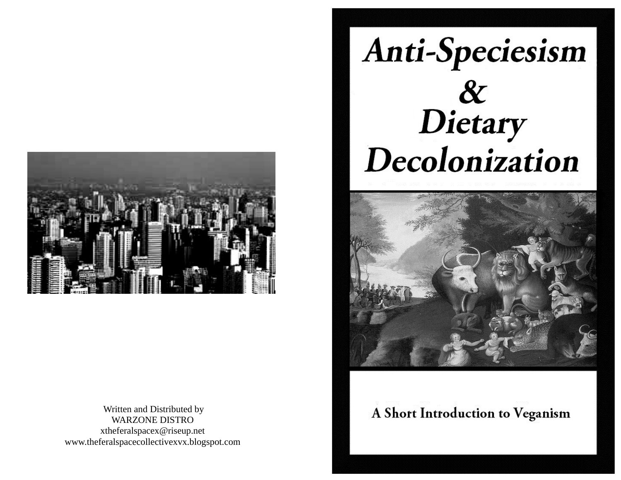

 Written and Distributed by WARZONE DISTRO xtheferalspacex@riseup.net www.theferalspacecollectivexvx.blogspot.com

# Anti-Speciesism &<br>Dietary Decolonization



# A Short Introduction to Veganism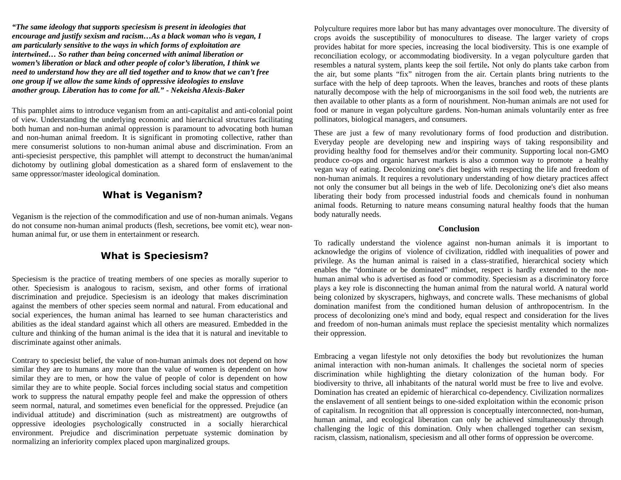*"The same ideology that supports speciesism is present in ideologies that encourage and justify sexism and racism…As a black woman who is vegan, I am particularly sensitive to the ways in which forms of exploitation are intertwined… So rather than being concerned with animal liberation or women's liberation or black and other people of color's liberation, I think we need to understand how they are all tied together and to know that we can't free one group if we allow the same kinds of oppressive ideologies to enslave another group. Liberation has to come for all." - Nekeisha Alexis-Baker* 

This pamphlet aims to introduce veganism from an anti-capitalist and anti-colonial point of view. Understanding the underlying economic and hierarchical structures facilitating both human and non-human animal oppression is paramount to advocating both human and non-human animal freedom. It is significant in promoting collective, rather than mere consumerist solutions to non-human animal abuse and discrimination. From an anti-speciesist perspective, this pamphlet will attempt to deconstruct the human/animal dichotomy by outlining global domestication as a shared form of enslavement to the same oppressor/master ideological domination.

# **What is Veganism?**

Veganism is the rejection of the commodification and use of non-human animals. Vegans do not consume non-human animal products (flesh, secretions, bee vomit etc), wear nonhuman animal fur, or use them in entertainment or research.

# **What is Speciesism?**

Speciesism is the practice of treating members of one species as morally superior to other. Speciesism is analogous to racism, sexism, and other forms of irrational discrimination and prejudice. Speciesism is an ideology that makes discrimination against the members of other species seem normal and natural. From educational and social experiences, the human animal has learned to see human characteristics and abilities as the ideal standard against which all others are measured. Embedded in the culture and thinking of the human animal is the idea that it is natural and inevitable to discriminate against other animals.

Contrary to speciesist belief, the value of non-human animals does not depend on how similar they are to humans any more than the value of women is dependent on how similar they are to men, or how the value of people of color is dependent on how similar they are to white people. Social forces including social status and competition work to suppress the natural empathy people feel and make the oppression of others seem normal, natural, and sometimes even beneficial for the oppressed. Prejudice (an individual attitude) and discrimination (such as mistreatment) are outgrowths of oppressive ideologies psychologically constructed in a socially hierarchical environment. Prejudice and discrimination perpetuate systemic domination by normalizing an inferiority complex placed upon marginalized groups.

Polyculture requires more labor but has many advantages over monoculture. The diversity of crops avoids the susceptibility of monocultures to disease. The larger variety of crops provides habitat for more species, increasing the local biodiversity. This is one example of reconciliation ecology, or accommodating biodiversity. In a vegan polyculture garden that resembles a natural system, plants keep the soil fertile*.* Not only do plants take carbon from the air, but some plants "fix" nitrogen from the air. Certain plants bring nutrients to the surface with the help of deep taproots. When the leaves, branches and roots of these plants naturally decompose with the help of microorganisms in the soil food web, the nutrients are then available to other plants as a form of nourishment. Non-human animals are not used for food or manure in vegan polyculture gardens. Non-human animals voluntarily enter as free pollinators, biological managers, and consumers.

These are just a few of many revolutionary forms of food production and distribution. Everyday people are developing new and inspiring ways of taking responsibility and providing healthy food for themselves and/or their community. Supporting local non-GMO produce co-ops and organic harvest markets is also a common way to promote a healthy vegan way of eating. Decolonizing one's diet begins with respecting the life and freedom of non-human animals. It requires a revolutionary understanding of how dietary practices affect not only the consumer but all beings in the web of life. Decolonizing one's diet also means liberating their body from processed industrial foods and chemicals found in nonhuman animal foods. Returning to nature means consuming natural healthy foods that the human body naturally needs.

#### **Conclusion**

To radically understand the violence against non-human animals it is important to acknowledge the origins of violence of civilization, riddled with inequalities of power and privilege. As the human animal is raised in a class-stratified, hierarchical society which enables the "dominate or be dominated" mindset, respect is hardly extended to the nonhuman animal who is advertised as food or commodity. Speciesism as a discriminatory force plays a key role is disconnecting the human animal from the natural world. A natural world being colonized by skyscrapers, highways, and concrete walls. These mechanisms of global domination manifest from the conditioned human delusion of anthropocentrism. In the process of decolonizing one's mind and body, equal respect and consideration for the lives and freedom of non-human animals must replace the speciesist mentality which normalizes their oppression.

Embracing a vegan lifestyle not only detoxifies the body but revolutionizes the human animal interaction with non-human animals. It challenges the societal norm of species discrimination while highlighting the dietary colonization of the human body. For biodiversity to thrive, all inhabitants of the natural world must be free to live and evolve. Domination has created an epidemic of hierarchical co-dependency. Civilization normalizes the enslavement of all sentient beings to one-sided exploitation within the economic prison of capitalism. In recognition that all oppression is conceptually interconnected, non-human, human animal, and ecological liberation can only be achieved simultaneously through challenging the logic of this domination. Only when challenged together can sexism, racism, classism, nationalism, speciesism and all other forms of oppression be overcome.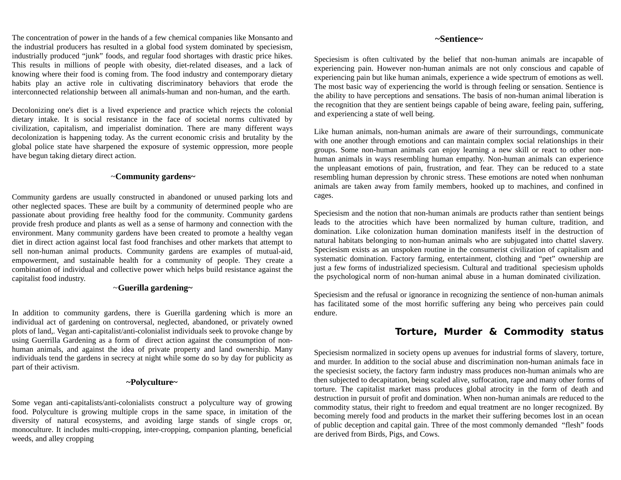The concentration of power in the hands of a few chemical companies like Monsanto and the industrial producers has resulted in a global food system dominated by speciesism, industrially produced "junk" foods, and regular food shortages with drastic price hikes. This results in millions of people with obesity, diet-related diseases, and a lack of knowing where their food is coming from. The food industry and contemporary dietary habits play an active role in cultivating discriminatory behaviors that erode the interconnected relationship between all animals-human and non-human, and the earth.

Decolonizing one's diet is a lived experience and practice which rejects the colonial dietary intake. It is social resistance in the face of societal norms cultivated by civilization, capitalism, and imperialist domination. There are many different ways decolonization is happening today. As the current economic crisis and brutality by the global police state have sharpened the exposure of systemic oppression, more people have begun taking dietary direct action.

#### ~**Community gardens~**

Community gardens are usually constructed in abandoned or unused parking lots and other neglected spaces. These are built by a community of determined people who are passionate about providing free healthy food for the community. Community gardens provide fresh produce and plants as well as a sense of harmony and connection with the environment. Many community gardens have been created to promote a healthy vegan diet in direct action against local fast food franchises and other markets that attempt to sell non-human animal products. Community gardens are examples of mutual-aid, empowerment, and sustainable health for a community of people. They create a combination of individual and collective power which helps build resistance against the capitalist food industry.

#### ~**Guerilla gardening~**

In addition to community gardens, there is Guerilla gardening which is more an individual act of gardening on controversal, neglected, abandoned, or privately owned plots of land,. Vegan anti-capitalist/anti-colonialist individuals seek to provoke change by using Guerrilla Gardening as a form of direct action against the consumption of nonhuman animals, and against the idea of private property and land ownership. Many individuals tend the gardens in secrecy at night while some do so by day for publicity as part of their activism.

#### **~Polyculture~**

Some vegan anti-capitalists/anti-colonialists construct a polyculture way of growing food. Polyculture is growing multiple crops in the same space, in imitation of the diversity of natural ecosystems, and avoiding large stands of single crops or, monoculture. It includes multi-cropping, inter-cropping, companion planting, beneficial weeds, and alley cropping

#### **~Sentience~**

Speciesism is often cultivated by the belief that non-human animals are incapable of experiencing pain. However non-human animals are not only conscious and capable of experiencing pain but like human animals, experience a wide spectrum of emotions as well. The most basic way of experiencing the world is through feeling or sensation. Sentience is the ability to have perceptions and sensations. The basis of non-human animal liberation is the recognition that they are sentient beings capable of being aware, feeling pain, suffering, and experiencing a state of well being.

Like human animals, non-human animals are aware of their surroundings, communicate with one another through emotions and can maintain complex social relationships in their groups. Some non-human animals can enjoy learning a new skill or react to other nonhuman animals in ways resembling human empathy. Non-human animals can experience the unpleasant emotions of pain, frustration, and fear. They can be reduced to a state resembling human depression by chronic stress. These emotions are noted when nonhuman animals are taken away from family members, hooked up to machines, and confined in cages.

Speciesism and the notion that non-human animals are products rather than sentient beings leads to the atrocities which have been normalized by human culture, tradition, and domination. Like colonization human domination manifests itself in the destruction of natural habitats belonging to non-human animals who are subjugated into chattel slavery. Speciesism exists as an unspoken routine in the consumerist civilization of capitalism and systematic domination. Factory farming, entertainment, clothing and "pet" ownership are just a few forms of industrialized speciesism. Cultural and traditional speciesism upholds the psychological norm of non-human animal abuse in a human dominated civilization.

Speciesism and the refusal or ignorance in recognizing the sentience of non-human animals has facilitated some of the most horrific suffering any being who perceives pain could endure.

# **Torture, Murder & Commodity status**

Speciesism normalized in society opens up avenues for industrial forms of slavery, torture, and murder. In addition to the social abuse and discrimination non-human animals face in the speciesist society, the factory farm industry mass produces non-human animals who are then subjected to decapitation, being scaled alive, suffocation, rape and many other forms of torture. The capitalist market mass produces global atrocity in the form of death and destruction in pursuit of profit and domination. When non-human animals are reduced to the commodity status, their right to freedom and equal treatment are no longer recognized. By becoming merely food and products in the market their suffering becomes lost in an ocean of public deception and capital gain. Three of the most commonly demanded "flesh" foods are derived from Birds, Pigs, and Cows.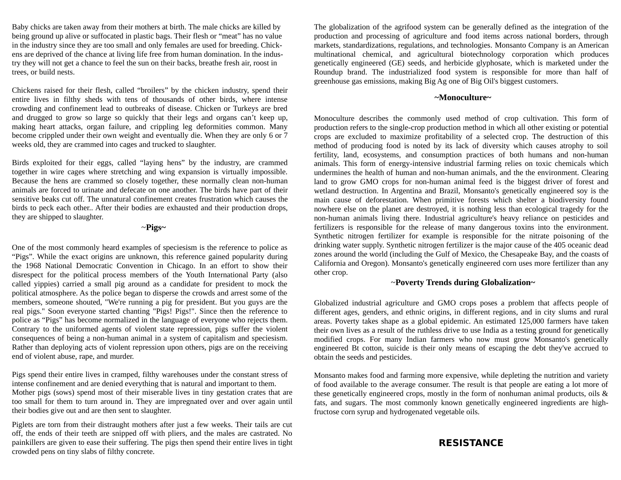Baby chicks are taken away from their mothers at birth. The male chicks are killed by being ground up alive or suffocated in plastic bags. Their flesh or "meat" has no value in the industry since they are too small and only females are used for breeding. Chickens are deprived of the chance at living life free from human domination. In the industry they will not get a chance to feel the sun on their backs, breathe fresh air, roost in trees, or build nests.

Chickens raised for their flesh, called "broilers" by the chicken industry, spend their entire lives in filthy sheds with tens of thousands of other birds, where intense crowding and confinement lead to outbreaks of disease. Chicken or Turkeys are bred and drugged to grow so large so quickly that their legs and organs can't keep up, making heart attacks, organ failure, and crippling leg deformities common. Many become crippled under their own weight and eventually die. When they are only 6 or 7 weeks old, they are crammed into cages and trucked to slaughter.

Birds exploited for their eggs, called "laying hens" by the industry, are crammed together in wire cages where stretching and wing expansion is virtually impossible. Because the hens are crammed so closely together, these normally clean non-human animals are forced to urinate and defecate on one another. The birds have part of their sensitive beaks cut off. The unnatural confinement creates frustration which causes the birds to peck each other.. After their bodies are exhausted and their production drops, they are shipped to slaughter.

#### ~**Pigs~**

One of the most commonly heard examples of speciesism is the reference to police as "Pigs". While the exact origins are unknown, this reference gained popularity during the 1968 National Democratic Convention in Chicago. In an effort to show their disrespect for the political process members of the Youth International Party (also called yippies) carried a small pig around as a candidate for president to mock the political atmosphere. As the police began to disperse the crowds and arrest some of the members, someone shouted, "We're running a pig for president. But you guys are the real pigs." Soon everyone started chanting "Pigs! Pigs!". Since then the reference to police as "Pigs" has become normalized in the language of everyone who rejects them. Contrary to the uniformed agents of violent state repression, pigs suffer the violent consequences of being a non-human animal in a system of capitalism and speciesism. Rather than deploying acts of violent repression upon others, pigs are on the receiving end of violent abuse, rape, and murder.

Pigs spend their entire lives in cramped, filthy warehouses under the constant stress of intense confinement and are denied everything that is natural and important to them. Mother pigs (sows) spend most of their miserable lives in tiny gestation crates that are too small for them to turn around in. They are impregnated over and over again until their bodies give out and are then sent to slaughter.

Piglets are torn from their distraught mothers after just a few weeks. Their tails are cut off, the ends of their teeth are snipped off with pliers, and the males are castrated. No painkillers are given to ease their suffering. The pigs then spend their entire lives in tight crowded pens on tiny slabs of filthy concrete.

The globalization of the agrifood system can be generally defined as the integration of the production and processing of agriculture and food items across national borders, through markets, standardizations, regulations, and technologies. Monsanto Company is an American multinational chemical, and agricultural biotechnology corporation which produces genetically engineered (GE) seeds, and herbicide glyphosate, which is marketed under the Roundup brand. The industrialized food system is responsible for more than half of greenhouse gas emissions, making Big Ag one of Big Oil's biggest customers.

#### **~Monoculture~**

Monoculture describes the commonly used method of crop cultivation. This form of production refers to the single-crop production method in which all other existing or potential crops are excluded to maximize profitability of a selected crop. The destruction of this method of producing food is noted by its lack of diversity which causes atrophy to soil fertility, land, ecosystems, and consumption practices of both humans and non-human animals. This form of energy-intensive industrial farming relies on toxic chemicals which undermines the health of human and non-human animals, and the the environment. Clearing land to grow GMO crops for non-human animal feed is the biggest driver of forest and wetland destruction. In Argentina and Brazil, Monsanto's genetically engineered soy is the main cause of deforestation. When primitive forests which shelter a biodiversity found nowhere else on the planet are destroyed, it is nothing less than ecological tragedy for the non-human animals living there. Industrial agriculture's heavy reliance on pesticides and fertilizers is responsible for the release of many dangerous toxins into the environment. Synthetic nitrogen fertilizer for example is responsible for the nitrate poisoning of the drinking water supply. Synthetic nitrogen fertilizer is the major cause of the 405 oceanic dead zones around the world (including the Gulf of Mexico, the Chesapeake Bay, and the coasts of California and Oregon). Monsanto's genetically engineered corn uses more fertilizer than any other crop.

#### ~**Poverty Trends during Globalization~**

Globalized industrial agriculture and GMO crops poses a problem that affects people of different ages, genders, and ethnic origins, in different regions, and in city slums and rural areas. Poverty takes shape as a global epidemic. An estimated 125,000 farmers have taken their own lives as a result of the ruthless drive to use India as a testing ground for genetically modified crops. For many Indian farmers who now must grow Monsanto's genetically engineered Bt cotton, suicide is their only means of escaping the debt they've accrued to obtain the seeds and pesticides.

Monsanto makes food and farming more expensive, while depleting the nutrition and variety of food available to the average consumer. The result is that people are eating a lot more of these genetically engineered crops, mostly in the form of nonhuman animal products, oils & fats, and sugars. The most commonly known genetically engineered ingredients are highfructose corn syrup and hydrogenated vegetable oils.

### **RESISTANCE**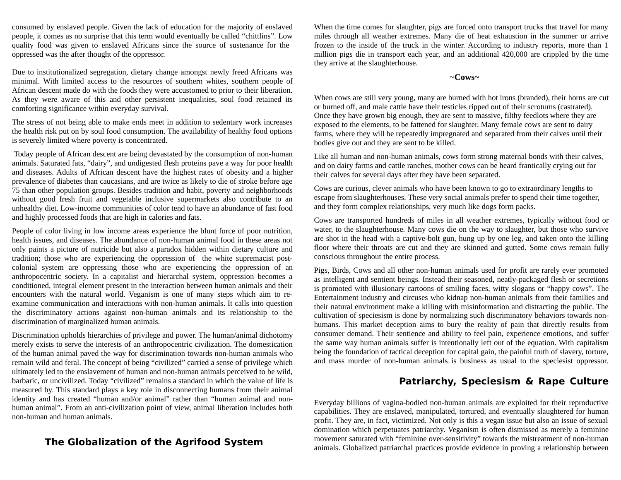consumed by enslaved people. Given the lack of education for the majority of enslaved people, it comes as no surprise that this term would eventually be called "chittlins". Low quality food was given to enslaved Africans since the source of sustenance for the oppressed was the after thought of the oppressor.

Due to institutionalized segregation, dietary change amongst newly freed Africans was minimal. With limited access to the resources of southern whites, southern people of African descent made do with the foods they were accustomed to prior to their liberation. As they were aware of this and other persistent inequalities, soul food retained its comforting significance within everyday survival.

The stress of not being able to make ends meet in addition to sedentary work increases the health risk put on by soul food consumption. The availability of healthy food options is severely limited where poverty is concentrated.

 Today people of African descent are being devastated by the consumption of non-human animals. Saturated fats, "dairy", and undigested flesh proteins pave a way for poor health and diseases. Adults of African descent have the highest rates of obesity and a higher prevalence of diabetes than caucasians, and are twice as likely to die of stroke before age 75 than other population groups. Besides tradition and habit, poverty and neighborhoods without good fresh fruit and vegetable inclusive supermarkets also contribute to an unhealthy diet. Low-income communities of color tend to have an abundance of fast food and highly processed foods that are high in calories and fats.

People of color living in low income areas experience the blunt force of poor nutrition, health issues, and diseases. The abundance of non-human animal food in these areas not only paints a picture of nutricide but also a paradox hidden within dietary culture and tradition; those who are experiencing the oppression of the white supremacist postcolonial system are oppressing those who are experiencing the oppression of an anthropocentric society. In a capitalist and hierarchal system, oppression becomes a conditioned, integral element present in the interaction between human animals and their encounters with the natural world. Veganism is one of many steps which aim to reexamine communication and interactions with non-human animals. It calls into question the discriminatory actions against non-human animals and its relationship to the discrimination of marginalized human animals.

Discrimination upholds hierarchies of privilege and power. The human/animal dichotomy merely exists to serve the interests of an anthropocentric civilization. The domestication of the human animal paved the way for discrimination towards non-human animals who remain wild and feral. The concept of being "civilized" carried a sense of privilege which ultimately led to the enslavement of human and non-human animals perceived to be wild, barbaric, or uncivilized. Today "civilized" remains a standard in which the value of life is measured by. This standard plays a key role in disconnecting humans from their animal identity and has created "human and/or animal" rather than "human animal and nonhuman animal". From an anti-civilization point of view, animal liberation includes both non-human and human animals.

# **The Globalization of the Agrifood System**

When the time comes for slaughter, pigs are forced onto transport trucks that travel for many miles through all weather extremes. Many die of heat exhaustion in the summer or arrive frozen to the inside of the truck in the winter. According to industry reports, more than 1 million pigs die in transport each year, and an additional 420,000 are crippled by the time they arrive at the slaughterhouse.

#### ~**Cows~**

When cows are still very young, many are burned with hot irons (branded), their horns are cut or burned off, and male cattle have their testicles ripped out of their scrotums (castrated). Once they have grown big enough, they are sent to massive, filthy feedlots where they are exposed to the elements, to be fattened for slaughter. Many female cows are sent to dairy farms, where they will be repeatedly impregnated and separated from their calves until their bodies give out and they are sent to be killed.

Like all human and non-human animals, cows form strong maternal bonds with their calves, and on dairy farms and cattle ranches, mother cows can be heard frantically crying out for their calves for several days after they have been separated.

Cows are curious, clever animals who have been known to go to extraordinary lengths to escape from slaughterhouses. These very social animals prefer to spend their time together, and they form complex relationships, very much like dogs form packs.

Cows are transported hundreds of miles in all weather extremes, typically without food or water, to the slaughterhouse. Many cows die on the way to slaughter, but those who survive are shot in the head with a captive-bolt gun, hung up by one leg, and taken onto the killing floor where their throats are cut and they are skinned and gutted. Some cows remain fully conscious throughout the entire process.

Pigs, Birds, Cows and all other non-human animals used for profit are rarely ever promoted as intelligent and sentient beings. Instead their seasoned, neatly-packaged flesh or secretions is promoted with illusionary cartoons of smiling faces, witty slogans or "happy cows". The Entertainment industry and circuses who kidnap non-human animals from their families and their natural environment make a killing with misinformation and distracting the public. The cultivation of speciesism is done by normalizing such discriminatory behaviors towards nonhumans. This market deception aims to bury the reality of pain that directly results from consumer demand. Their sentience and ability to feel pain, experience emotions, and suffer the same way human animals suffer is intentionally left out of the equation. With capitalism being the foundation of tactical deception for capital gain, the painful truth of slavery, torture, and mass murder of non-human animals is business as usual to the speciesist oppressor.

# **Patriarchy, Speciesism & Rape Culture**

Everyday billions of vagina-bodied non-human animals are exploited for their reproductive capabilities. They are enslaved, manipulated, tortured, and eventually slaughtered for human profit. They are, in fact, victimized. Not only is this a vegan issue but also an issue of sexual domination which perpetuates patriarchy. Veganism is often dismissed as merely a feminine movement saturated with "feminine over-sensitivity" towards the mistreatment of non-human animals. Globalized patriarchal practices provide evidence in proving a relationship between